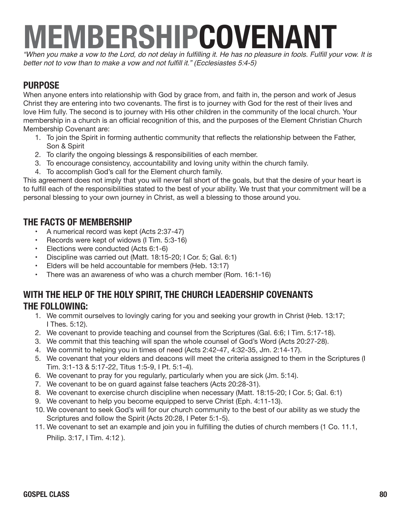# **MEMBERSHIPCOVENANT**

"When you make a vow to the Lord, do not delay in fulfilling it. He has no pleasure in fools. Fulfill your vow. It is better not to vow than to make a vow and not fulfill it." (Ecclesiastes 5:4-5)

### **PURPOSE**

When anyone enters into relationship with God by grace from, and faith in, the person and work of Jesus Christ they are entering into two covenants. The first is to journey with God for the rest of their lives and love Him fully. The second is to journey with His other children in the community of the local church. Your membership in a church is an official recognition of this, and the purposes of the Element Christian Church Membership Covenant are:

- 1. To join the Spirit in forming authentic community that reflects the relationship between the Father, Son & Spirit
- 2. To clarify the ongoing blessings & responsibilities of each member.
- 3. To encourage consistency, accountability and loving unity within the church family.
- 4. To accomplish God's call for the Element church family.

This agreement does not imply that you will never fall short of the goals, but that the desire of your heart is to fulfill each of the responsibilities stated to the best of your ability. We trust that your commitment will be a personal blessing to your own journey in Christ, as well a blessing to those around you.

#### **THE FACTS OF MEMBERSHIP**

- A numerical record was kept (Acts 2:37-47)
- Records were kept of widows (I Tim. 5:3-16)
- Elections were conducted (Acts 6:1-6)
- Discipline was carried out (Matt. 18:15-20; I Cor. 5; Gal. 6:1)
- Elders will be held accountable for members (Heb. 13:17)
- There was an awareness of who was a church member (Rom. 16:1-16)

#### **WITH THE HELP OF THE HOLY SPIRIT, THE CHURCH LEADERSHIP COVENANTS THE FOLLOWING:**

- 1. We commit ourselves to lovingly caring for you and seeking your growth in Christ (Heb. 13:17; I Thes. 5:12).
- 2. We covenant to provide teaching and counsel from the Scriptures (Gal. 6:6; I Tim. 5:17-18).
- 3. We commit that this teaching will span the whole counsel of God's Word (Acts 20:27-28).
- 4. We commit to helping you in times of need (Acts 2:42-47, 4:32-35, Jm. 2:14-17).
- 5. We covenant that your elders and deacons will meet the criteria assigned to them in the Scriptures (I Tim. 3:1-13 & 5:17-22, Titus 1:5-9, I Pt. 5:1-4).
- 6. We covenant to pray for you regularly, particularly when you are sick (Jm. 5:14).
- 7. We covenant to be on guard against false teachers (Acts 20:28-31).
- 8. We covenant to exercise church discipline when necessary (Matt. 18:15-20; I Cor. 5; Gal. 6:1)
- 9. We covenant to help you become equipped to serve Christ (Eph. 4:11-13).
- 10. We covenant to seek God's will for our church community to the best of our ability as we study the Scriptures and follow the Spirit (Acts 20:28, I Peter 5:1-5).
- 11. We covenant to set an example and join you in fulfilling the duties of church members (1 Co. 11.1, Philip. 3:17, I Tim. 4:12 ).